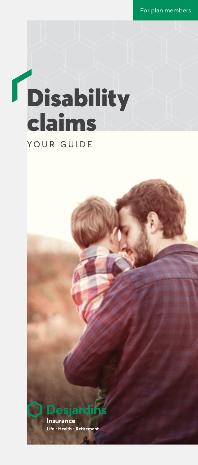For plan members

# **Disability** claims YOUR GUIDE



Life • Health • Retirement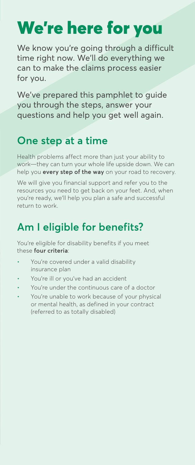# We're here for you

We know you're going through a difficult time right now. We'll do everything we can to make the claims process easier for you.

We've prepared this pamphlet to guide you through the steps, answer your questions and help you get well again.

### **One step at a time**

Health problems affect more than just your ability to work—they can turn your whole life upside down. We can help you **every step of the way** on your road to recovery.

We will give you financial support and refer you to the resources you need to get back on your feet. And, when you're ready, we'll help you plan a safe and successful return to work.

### **Am I eligible for benefits?**

You're eligible for disability benefits if you meet these **four criteria**:

- You're covered under a valid disability insurance plan
- You're ill or you've had an accident
- You're under the continuous care of a doctor
- You're unable to work because of your physical or mental health, as defined in your contract (referred to as totally disabled)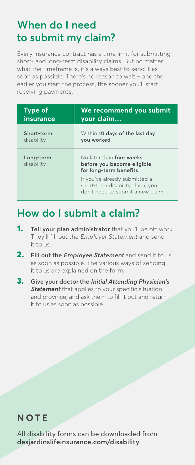### **When do I need to submit my claim?**

Every insurance contract has a time limit for submitting short- and long-term disability claims. But no matter what the timeframe is, it's always best to send it as soon as possible. There's no reason to wait – and the earlier you start the process, the sooner you'll start receiving payments.

| Type of                 | We recommend you submit                                                                               |
|-------------------------|-------------------------------------------------------------------------------------------------------|
| insurance               | your claim                                                                                            |
| Short-term              | Within 10 days of the last day                                                                        |
| disability              | you worked                                                                                            |
| Long-term<br>disability | No later than four weeks<br>before you become eligible<br>for long-term benefits                      |
|                         | If you've already submitted a<br>short-term disability claim, you<br>don't need to submit a new claim |

### **How do I submit a claim?**

- 1. **Tell your plan administrator** that you'll be off work. They'll fill out the Employer Statement and send it to us.
- 2. **Fill out the Employee Statement** and send it to us as soon as possible. The various ways of sending it to us are explained on the form.
- 3. **Give your doctor the Initial Attending Physician's Statement** that applies to your specific situation and province, and ask them to fill it out and return it to us as soon as possible.

#### **NOTE**

All disability forms can be downloaded from **[desjardinslifeinsurance.com/disability](http://desjardinslifeinsurance.com/disability)**.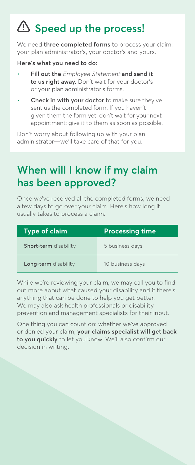### **Speed up the process!**

We need **three completed forms** to process your claim: your plan administrator's, your doctor's and yours.

**Here's what you need to do:**

- **Fill out the** Employee Statement **and send it to us right away.** Don't wait for your doctor's or your plan administrator's forms.
- **Check in with your doctor** to make sure they've sent us the completed form. If you haven't given them the form yet, don't wait for your next appointment; give it to them as soon as possible.

Don't worry about following up with your plan administrator—we'll take care of that for you.

### **When will I know if my claim has been approved?**

Once we've received all the completed forms, we need a few days to go over your claim. Here's how long it usually takes to process a claim:

| <b>Type of claim</b>  | <b>Processing time</b> |
|-----------------------|------------------------|
| Short-term disability | 5 business days        |
| Long-term disability  | 10 business days       |

While we're reviewing your claim, we may call you to find out more about what caused your disability and if there's anything that can be done to help you get better. We may also ask health professionals or disability prevention and management specialists for their input.

One thing you can count on: whether we've approved or denied your claim, **your claims specialist will get back to you quickly** to let you know. We'll also confirm our decision in writing.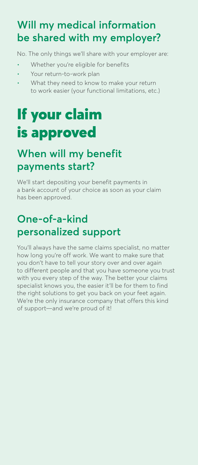### **Will my medical information be shared with my employer?**

No. The only things we'll share with your employer are:

- Whether you're eligible for benefits
- Your return-to-work plan
- What they need to know to make your return to work easier (your functional limitations, etc.)

## If your claim is approved

### **When will my benefit payments start?**

We'll start depositing your benefit payments in a bank account of your choice as soon as your claim has been approved.

### **One-of-a-kind personalized support**

You'll always have the same claims specialist, no matter how long you're off work. We want to make sure that you don't have to tell your story over and over again to different people and that you have someone you trust with you every step of the way. The better your claims specialist knows you, the easier it'll be for them to find the right solutions to get you back on your feet again. We're the only insurance company that offers this kind of support—and we're proud of it!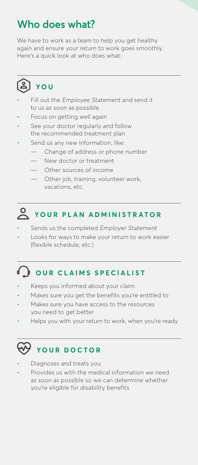### **Who does what?**

We have to work as a team to help you get healthy again and ensure your return to work goes smoothly. Here's a quick look at who does what:



- Fill out the Employee Statement and send it to us as soon as possible
- Focus on getting well again
- See your doctor regularly and follow the recommended treatment plan
- Send us any new information, like:
	- Change of address or phone number
	- New doctor or treatment
	- Other sources of income
	- Other job, training, volunteer work, vacations, etc.



- Sends us the completed Employer Statement
- Looks for ways to make your return to work easier (flexible schedule, etc.)

### **OUR CLAIMS SPECIALIST**

- Keeps you informed about your claim
- Makes sure you get the benefits you're entitled to
- Makes sure you have access to the resources you need to get better
- Helps you with your return to work, when you're ready

### **YOUR DOCTOR**

- Diagnoses and treats you
- Provides us with the medical information we need as soon as possible so we can determine whether you're eligible for disability benefits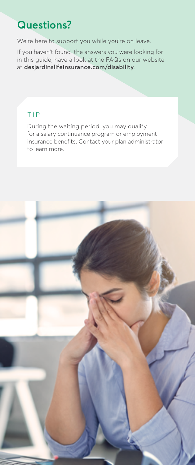### **Questions?**

We're here to support you while you're on leave.

If you haven't found the answers you were looking for in this guide, have a look at the FAQs on our website at **[desjardinslifeinsurance.com/disability](http://desjardinslifeinsurance.com/disability)**.

#### TIP

During the waiting period, you may qualify for a salary continuance program or employment insurance benefits. Contact your plan administrator to learn more.